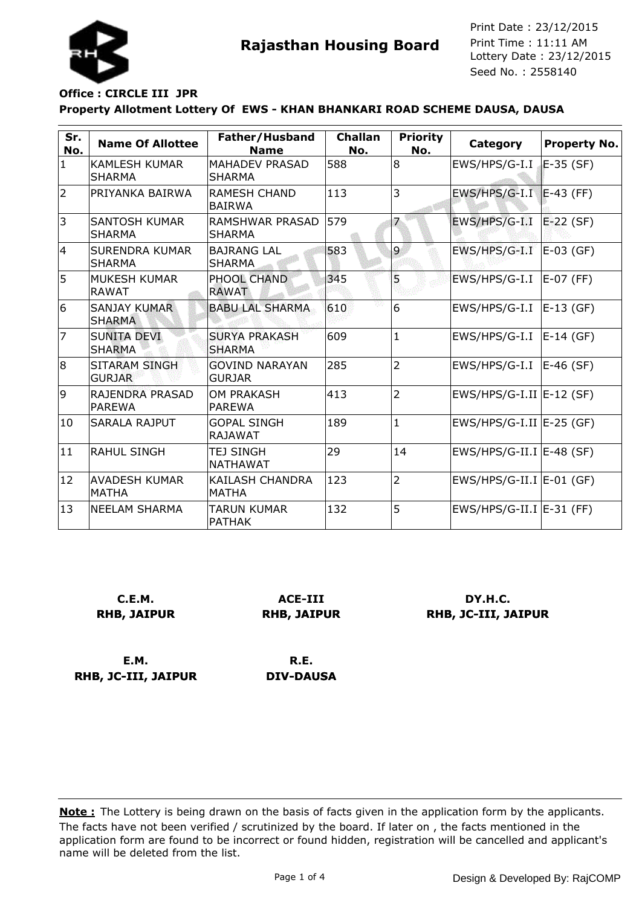

**Rajasthan Housing Board** Print Time : 11:11 AM<br>Lottery Date : 23/12/2015 Seed No. : 2558140 Print Date : 23/12/2015 Print Time : 11:11 AM

# **Property Allotment Lottery Of EWS - KHAN BHANKARI ROAD SCHEME DAUSA, DAUSA Office : CIRCLE III JPR**

| Sr.<br>No.     | <b>Name Of Allottee</b>                | Father/Husband<br><b>Name</b>          | <b>Challan</b><br>No. | <b>Priority</b><br>No. | <b>Category</b>              | <b>Property No.</b> |
|----------------|----------------------------------------|----------------------------------------|-----------------------|------------------------|------------------------------|---------------------|
| $\mathbf{1}$   | <b>KAMLESH KUMAR</b><br><b>SHARMA</b>  | <b>MAHADEV PRASAD</b><br><b>SHARMA</b> | 588                   | 8                      | EWS/HPS/G-I.I                | E-35 (SF)           |
| $\overline{2}$ | PRIYANKA BAIRWA                        | RAMESH CHAND<br><b>BAIRWA</b>          | 113                   | 3                      | $EWS/HPS/G-I.I$ $E-43$ (FF)  |                     |
| 3              | <b>SANTOSH KUMAR</b><br><b>SHARMA</b>  | RAMSHWAR PRASAD<br><b>SHARMA</b>       | 579                   | 7                      | EWS/HPS/G-I.I                | $E-22$ (SF)         |
| 14             | <b>SURENDRA KUMAR</b><br><b>SHARMA</b> | <b>BAJRANG LAL</b><br><b>SHARMA</b>    | 583                   | 9                      | EWS/HPS/G-I.I                | $E-03$ (GF)         |
| 5              | MUKESH KUMAR<br><b>RAWAT</b>           | <b>PHOOL CHAND</b><br><b>RAWAT</b>     | 345                   | 5                      | EWS/HPS/G-I.I                | E-07 (FF)           |
| 6              | <b>SANJAY KUMAR</b><br><b>SHARMA</b>   | <b>BABU LAL SHARMA</b>                 | 610                   | 6                      | EWS/HPS/G-I.I                | $E-13$ (GF)         |
| 7              | <b>SUNITA DEVI</b><br><b>SHARMA</b>    | <b>SURYA PRAKASH</b><br><b>SHARMA</b>  | 609                   | $\mathbf{1}$           | EWS/HPS/G-I.I                | $E-14$ (GF)         |
| 8              | SITARAM SINGH<br><b>GURJAR</b>         | <b>GOVIND NARAYAN</b><br><b>GURJAR</b> | 285                   | $\overline{2}$         | EWS/HPS/G-I.I                | E-46 (SF)           |
| 9              | RAJENDRA PRASAD<br><b>PAREWA</b>       | <b>OM PRAKASH</b><br><b>PAREWA</b>     | 413                   | $\overline{2}$         | $EWS/HPS/G-I.II$ $E-12$ (SF) |                     |
| 10             | <b>SARALA RAJPUT</b>                   | <b>GOPAL SINGH</b><br><b>RAJAWAT</b>   | 189                   | $\mathbf{1}$           | $EWS/HPS/G-I.II$ $E-25$ (GF) |                     |
| 11             | <b>RAHUL SINGH</b>                     | TEJ SINGH<br><b>NATHAWAT</b>           | 29                    | 14                     | $EWS/HPS/G-II.I$ $E-48$ (SF) |                     |
| 12             | AVADESH KUMAR<br><b>MATHA</b>          | KAILASH CHANDRA<br><b>MATHA</b>        | 123                   | $\overline{2}$         | $EWS/HPS/G-II.I$ $E-01$ (GF) |                     |
| 13             | <b>NEELAM SHARMA</b>                   | <b>TARUN KUMAR</b><br><b>PATHAK</b>    | 132                   | 5                      | EWS/HPS/G-II.I   E-31 (FF)   |                     |

**C.E.M. RHB, JAIPUR**

**ACE-III RHB, JAIPUR**

**DY.H.C. RHB, JC-III, JAIPUR**

**E.M. RHB, JC-III, JAIPUR**

**R.E. DIV-DAUSA**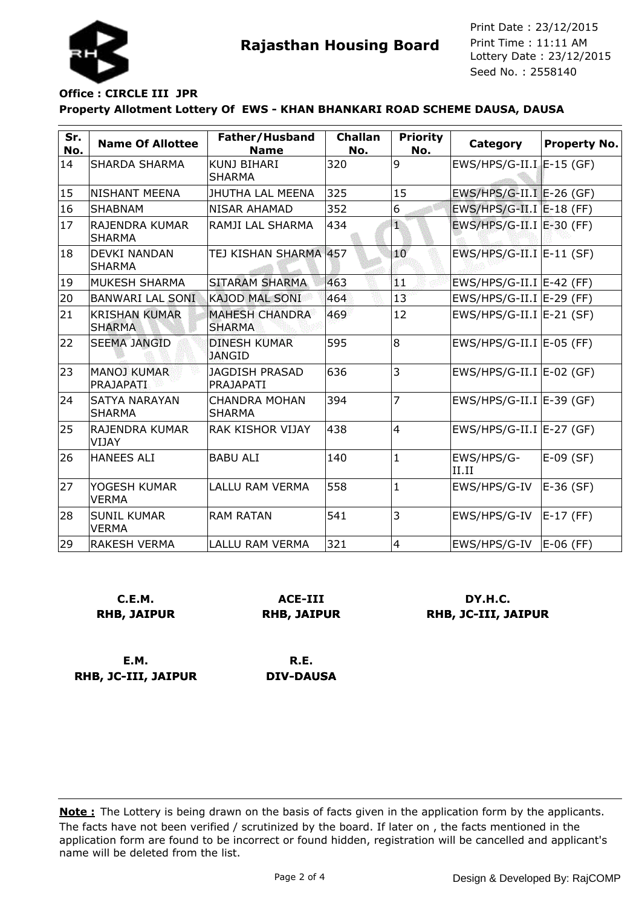

**Rajasthan Housing Board** Print Time : 11:11 AM<br>Lottery Date : 23/12/2015 Seed No. : 2558140 Print Date : 23/12/2015 Print Time : 11:11 AM

## **Property Allotment Lottery Of EWS - KHAN BHANKARI ROAD SCHEME DAUSA, DAUSA Office : CIRCLE III JPR**

| Sr.<br>No. | <b>Name Of Allottee</b>               | Father/Husband<br><b>Name</b>          | <b>Challan</b><br>No. | <b>Priority</b><br>No. | Category                                           | <b>Property No.</b> |
|------------|---------------------------------------|----------------------------------------|-----------------------|------------------------|----------------------------------------------------|---------------------|
| 14         | SHARDA SHARMA                         | <b>KUNJ BIHARI</b><br><b>SHARMA</b>    | 320                   | 9                      | EWS/HPS/G-II.I E-15 (GF)                           |                     |
| 15         | NISHANT MEENA                         | <b>JHUTHA LAL MEENA</b>                | 325                   | 15                     | EWS/HPS/G-II.I E-26 (GF)                           |                     |
| 16         | <b>SHABNAM</b>                        | NISAR AHAMAD                           | 352                   | 6                      | EWS/HPS/G-II.I E-18 (FF)                           |                     |
| 17         | RAJENDRA KUMAR<br><b>SHARMA</b>       | RAMJI LAL SHARMA                       | 434                   | 1                      | $EWS/HPS/G-II.I$ $E-30$ (FF)                       |                     |
| 18         | DEVKI NANDAN<br><b>SHARMA</b>         | TEJ KISHAN SHARMA 457                  |                       | 10                     | $EWS/HPS/G-II.I$ $E-11$ (SF)                       |                     |
| 19         | MUKESH SHARMA                         | SITARAM SHARMA                         | 463                   | 11                     | EWS/HPS/G-II.I   E-42 (FF)                         |                     |
| 20         | <b>BANWARI LAL SONI</b>               | <b>KAJOD MAL SONI</b>                  | 464                   | 13                     | $EWS/HPS/G-II.I$ $E-29$ (FF)                       |                     |
| 21         | <b>KRISHAN KUMAR</b><br><b>SHARMA</b> | <b>MAHESH CHANDRA</b><br><b>SHARMA</b> | 469                   | 12                     | $EWS/HPS/G-II.I$ <sup><math>E-21</math></sup> (SF) |                     |
| 22         | <b>SEEMA JANGID</b>                   | <b>DINESH KUMAR</b><br>JANGID          | 595                   | l8                     | EWS/HPS/G-II.I E-05 (FF)                           |                     |
| 23         | <b>MANOJ KUMAR</b><br>PRAJAPATI       | <b>JAGDISH PRASAD</b><br>PRAJAPATI     | 636                   | 3                      | $EWS/HPS/G-II.I$ $E-02$ (GF)                       |                     |
| 24         | <b>SATYA NARAYAN</b><br><b>SHARMA</b> | <b>CHANDRA MOHAN</b><br><b>SHARMA</b>  | 394                   | 7                      | $EWS/HPS/G-II.I$ <sup><math>E-39</math></sup> (GF) |                     |
| 25         | RAJENDRA KUMAR<br>VIJAY               | <b>RAK KISHOR VIJAY</b>                | 438                   | $\overline{4}$         | $EWS/HPS/G-II.I$ <sup><math>E-27</math></sup> (GF) |                     |
| 26         | <b>HANEES ALI</b>                     | <b>BABU ALI</b>                        | 140                   | $\mathbf{1}$           | EWS/HPS/G-<br>II.II                                | $E-09$ (SF)         |
| 27         | YOGESH KUMAR<br><b>VERMA</b>          | <b>LALLU RAM VERMA</b>                 | 558                   | $\mathbf{1}$           | EWS/HPS/G-IV                                       | E-36 (SF)           |
| 28         | <b>SUNIL KUMAR</b><br><b>VERMA</b>    | <b>RAM RATAN</b>                       | 541                   | 3                      | EWS/HPS/G-IV                                       | E-17 (FF)           |
| 29         | <b>RAKESH VERMA</b>                   | <b>LALLU RAM VERMA</b>                 | 321                   | $\overline{4}$         | EWS/HPS/G-IV                                       | $E-06$ (FF)         |

**C.E.M. RHB, JAIPUR**

**ACE-III RHB, JAIPUR**

**DY.H.C. RHB, JC-III, JAIPUR**

**E.M. RHB, JC-III, JAIPUR**

**R.E. DIV-DAUSA**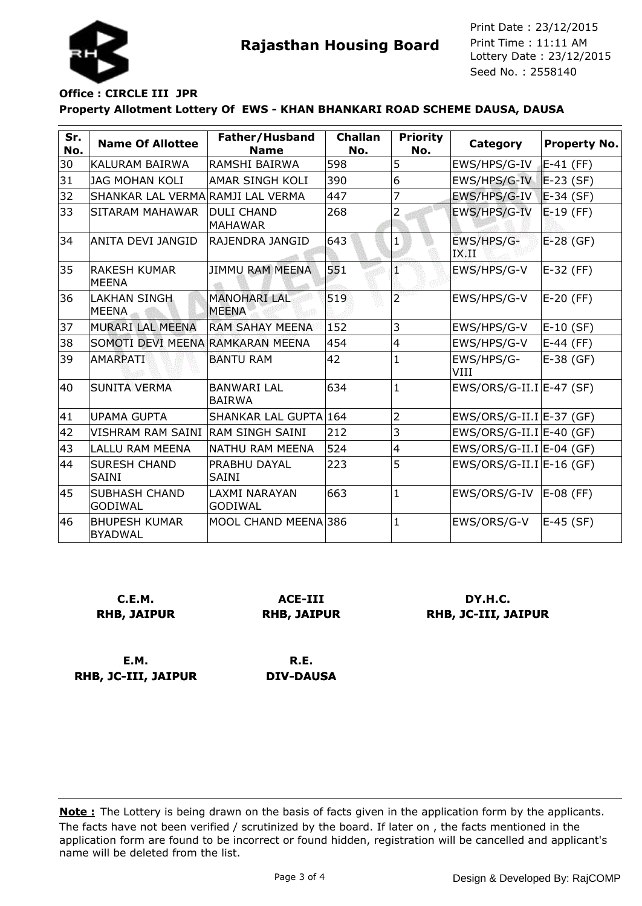



Seed No. : 2558140 Print Date : 23/12/2015 Print Time : 11:11 AM

#### **Property Allotment Lottery Of EWS - KHAN BHANKARI ROAD SCHEME DAUSA, DAUSA Office : CIRCLE III JPR**

| Sr.<br>No. | <b>Name Of Allottee</b>                | Father/Husband<br><b>Name</b>          | <b>Challan</b><br>No. | <b>Priority</b><br>No. | <b>Category</b>            | Property No.  |
|------------|----------------------------------------|----------------------------------------|-----------------------|------------------------|----------------------------|---------------|
| 30         | KALURAM BAIRWA                         | RAMSHI BAIRWA                          | 598                   | 5                      | EWS/HPS/G-IV               | E-41 (FF)     |
| 31         | <b>JAG MOHAN KOLI</b>                  | <b>AMAR SINGH KOLI</b>                 | 390                   | 6                      | EWS/HPS/G-IV               | $E-23$ (SF)   |
| 32         | SHANKAR LAL VERMA RAMJI LAL VERMA      |                                        | 447                   | 7                      | EWS/HPS/G-IV               | $E-34$ (SF)   |
| 33         | SITARAM MAHAWAR                        | <b>DULI CHAND</b><br><b>MAHAWAR</b>    | 268                   | 2                      | EWS/HPS/G-IV               | $E - 19$ (FF) |
| 34         | ANITA DEVI JANGID                      | RAJENDRA JANGID                        | 643                   | 1                      | EWS/HPS/G-<br>IX.II        | E-28 (GF)     |
| 35         | IRAKESH KUMAR<br><b>MEENA</b>          | <b>JIMMU RAM MEENA</b>                 | 551                   | T                      | EWS/HPS/G-V                | E-32 (FF)     |
| 36         | <b>LAKHAN SINGH</b><br><b>MEENA</b>    | <b>MANOHARI LAL</b><br><b>MEENA</b>    | 519                   | $\overline{2}$         | EWS/HPS/G-V                | E-20 (FF)     |
| 37         | MURARI LAL MEENA                       | <b>RAM SAHAY MEENA</b>                 | 152                   | 3                      | EWS/HPS/G-V                | E-10 (SF)     |
| 38         | SOMOTI DEVI MEENA RAMKARAN MEENA       |                                        | 454                   | $\overline{4}$         | EWS/HPS/G-V                | E-44 (FF)     |
| 39         | AMARPATI                               | <b>BANTU RAM</b>                       | 42                    | 1                      | EWS/HPS/G-<br>VIII         | $E-38$ (GF)   |
| 40         | SUNITA VERMA                           | <b>BANWARI LAL</b><br><b>BAIRWA</b>    | 634                   | $\mathbf{1}$           | $EWS/ORS/G-II.I E-47(SF)$  |               |
| 41         | <b>UPAMA GUPTA</b>                     | SHANKAR LAL GUPTA 164                  |                       | $\overline{2}$         | $EWS/ORS/G-II.I E-37$ (GF) |               |
| 42         | VISHRAM RAM SAINI IRAM SINGH SAINI     |                                        | 212                   | 3                      | $EWS/ORS/G-II.I E-40$ (GF) |               |
| 43         | <b>LALLU RAM MEENA</b>                 | NATHU RAM MEENA                        | 524                   | $\overline{4}$         | $EWS/ORS/G-II.I E-04$ (GF) |               |
| 44         | <b>SURESH CHAND</b><br><b>SAINI</b>    | PRABHU DAYAL<br><b>SAINI</b>           | 223                   | 5                      | $EWS/ORS/G-II.I E-16$ (GF) |               |
| 45         | <b>SUBHASH CHAND</b><br><b>GODIWAL</b> | <b>LAXMI NARAYAN</b><br><b>GODIWAL</b> | 663                   | $\mathbf{1}$           | EWS/ORS/G-IV               | $E-08$ (FF)   |
| 46         | <b>BHUPESH KUMAR</b><br><b>BYADWAL</b> | MOOL CHAND MEENA 386                   |                       | $\mathbf{1}$           | EWS/ORS/G-V                | E-45 (SF)     |

**C.E.M. RHB, JAIPUR**

**ACE-III RHB, JAIPUR**

**DY.H.C. RHB, JC-III, JAIPUR**

**E.M. RHB, JC-III, JAIPUR**

**R.E. DIV-DAUSA**